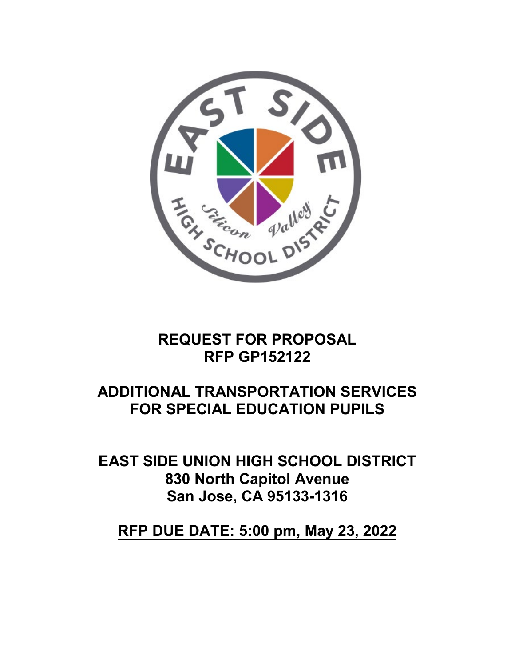

# **REQUEST FOR PROPOSAL RFP GP152122**

# **ADDITIONAL TRANSPORTATION SERVICES FOR SPECIAL EDUCATION PUPILS**

**EAST SIDE UNION HIGH SCHOOL DISTRICT 830 North Capitol Avenue San Jose, CA 95133-1316** 

**RFP DUE DATE: 5:00 pm, May 23, 2022**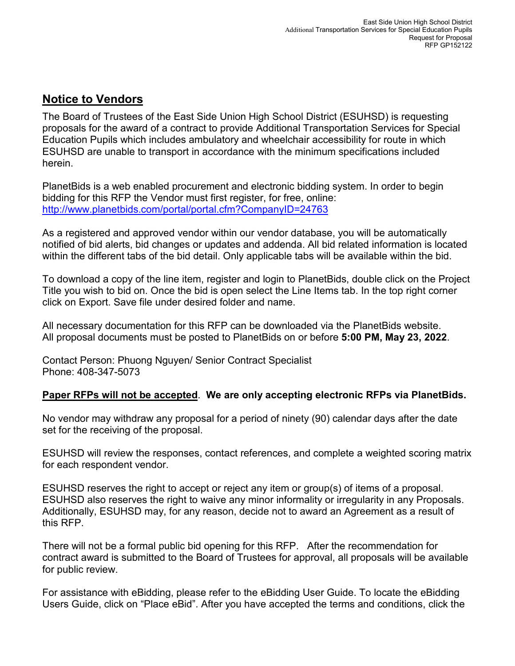## **Notice to Vendors**

The Board of Trustees of the East Side Union High School District (ESUHSD) is requesting proposals for the award of a contract to provide Additional Transportation Services for Special Education Pupils which includes ambulatory and wheelchair accessibility for route in which ESUHSD are unable to transport in accordance with the minimum specifications included herein.

PlanetBids is a web enabled procurement and electronic bidding system. In order to begin bidding for this RFP the Vendor must first register, for free, online: <http://www.planetbids.com/portal/portal.cfm?CompanyID=24763>

As a registered and approved vendor within our vendor database, you will be automatically notified of bid alerts, bid changes or updates and addenda. All bid related information is located within the different tabs of the bid detail. Only applicable tabs will be available within the bid.

To download a copy of the line item, register and login to PlanetBids, double click on the Project Title you wish to bid on. Once the bid is open select the Line Items tab. In the top right corner click on Export. Save file under desired folder and name.

All necessary documentation for this RFP can be downloaded via the PlanetBids website. All proposal documents must be posted to PlanetBids on or before **5:00 PM, May 23, 2022**.

Contact Person: Phuong Nguyen/ Senior Contract Specialist Phone: 408-347-5073

### **Paper RFPs will not be accepted**. **We are only accepting electronic RFPs via PlanetBids.**

No vendor may withdraw any proposal for a period of ninety (90) calendar days after the date set for the receiving of the proposal.

ESUHSD will review the responses, contact references, and complete a weighted scoring matrix for each respondent vendor.

ESUHSD reserves the right to accept or reject any item or group(s) of items of a proposal. ESUHSD also reserves the right to waive any minor informality or irregularity in any Proposals. Additionally, ESUHSD may, for any reason, decide not to award an Agreement as a result of this RFP.

There will not be a formal public bid opening for this RFP. After the recommendation for contract award is submitted to the Board of Trustees for approval, all proposals will be available for public review.

For assistance with eBidding, please refer to the eBidding User Guide. To locate the eBidding Users Guide, click on "Place eBid". After you have accepted the terms and conditions, click the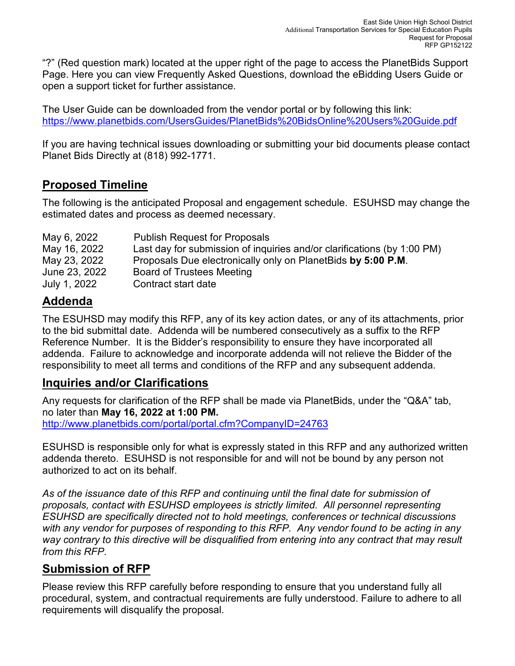"?" (Red question mark) located at the upper right of the page to access the PlanetBids Support Page. Here you can view Frequently Asked Questions, download the eBidding Users Guide or open a support ticket for further assistance.

The User Guide can be downloaded from the vendor portal or by following this link: <https://www.planetbids.com/UsersGuides/PlanetBids%20BidsOnline%20Users%20Guide.pdf>

If you are having technical issues downloading or submitting your bid documents please contact Planet Bids Directly at (818) 992-1771.

## **Proposed Timeline**

The following is the anticipated Proposal and engagement schedule. ESUHSD may change the estimated dates and process as deemed necessary.

| May 6, 2022   | <b>Publish Request for Proposals</b>                                    |
|---------------|-------------------------------------------------------------------------|
| May 16, 2022  | Last day for submission of inquiries and/or clarifications (by 1:00 PM) |
| May 23, 2022  | Proposals Due electronically only on PlanetBids by 5:00 P.M.            |
| June 23, 2022 | Board of Trustees Meeting                                               |
| July 1, 2022  | Contract start date                                                     |

## **Addenda**

The ESUHSD may modify this RFP, any of its key action dates, or any of its attachments, prior to the bid submittal date. Addenda will be numbered consecutively as a suffix to the RFP Reference Number. It is the Bidder's responsibility to ensure they have incorporated all addenda. Failure to acknowledge and incorporate addenda will not relieve the Bidder of the responsibility to meet all terms and conditions of the RFP and any subsequent addenda.

### **Inquiries and/or Clarifications**

Any requests for clarification of the RFP shall be made via PlanetBids, under the "Q&A" tab, no later than **May 16, 2022 at 1:00 PM.** <http://www.planetbids.com/portal/portal.cfm?CompanyID=24763>

ESUHSD is responsible only for what is expressly stated in this RFP and any authorized written addenda thereto. ESUHSD is not responsible for and will not be bound by any person not authorized to act on its behalf.

*As of the issuance date of this RFP and continuing until the final date for submission of proposals, contact with ESUHSD employees is strictly limited. All personnel representing ESUHSD are specifically directed not to hold meetings, conferences or technical discussions with any vendor for purposes of responding to this RFP. Any vendor found to be acting in any*  way contrary to this directive will be disqualified from entering into any contract that may result *from this RFP.*

## **Submission of RFP**

Please review this RFP carefully before responding to ensure that you understand fully all procedural, system, and contractual requirements are fully understood. Failure to adhere to all requirements will disqualify the proposal.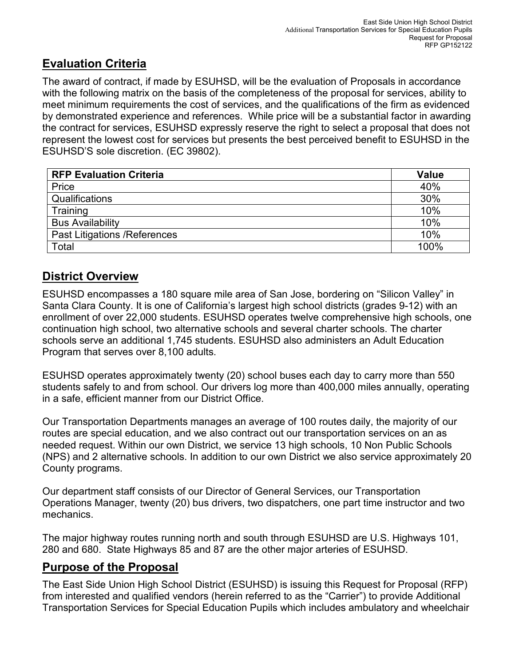## **Evaluation Criteria**

The award of contract, if made by ESUHSD, will be the evaluation of Proposals in accordance with the following matrix on the basis of the completeness of the proposal for services, ability to meet minimum requirements the cost of services, and the qualifications of the firm as evidenced by demonstrated experience and references. While price will be a substantial factor in awarding the contract for services, ESUHSD expressly reserve the right to select a proposal that does not represent the lowest cost for services but presents the best perceived benefit to ESUHSD in the ESUHSD'S sole discretion. (EC 39802).

| <b>RFP Evaluation Criteria</b>       | <b>Value</b> |
|--------------------------------------|--------------|
| Price                                | 40%          |
| Qualifications                       | 30%          |
| Training                             | 10%          |
| <b>Bus Availability</b>              | 10%          |
| <b>Past Litigations / References</b> | 10%          |
| Total                                | 100%         |

## **District Overview**

ESUHSD encompasses a 180 square mile area of San Jose, bordering on "Silicon Valley" in Santa Clara County. It is one of California's largest high school districts (grades 9-12) with an enrollment of over 22,000 students. ESUHSD operates twelve comprehensive high schools, one continuation high school, two alternative schools and several charter schools. The charter schools serve an additional 1,745 students. ESUHSD also administers an Adult Education Program that serves over 8,100 adults.

ESUHSD operates approximately twenty (20) school buses each day to carry more than 550 students safely to and from school. Our drivers log more than 400,000 miles annually, operating in a safe, efficient manner from our District Office.

Our Transportation Departments manages an average of 100 routes daily, the majority of our routes are special education, and we also contract out our transportation services on an as needed request. Within our own District, we service 13 high schools, 10 Non Public Schools (NPS) and 2 alternative schools. In addition to our own District we also service approximately 20 County programs.

Our department staff consists of our Director of General Services, our Transportation Operations Manager, twenty (20) bus drivers, two dispatchers, one part time instructor and two mechanics.

The major highway routes running north and south through ESUHSD are U.S. Highways 101, 280 and 680. State Highways 85 and 87 are the other major arteries of ESUHSD.

### **Purpose of the Proposal**

The East Side Union High School District (ESUHSD) is issuing this Request for Proposal (RFP) from interested and qualified vendors (herein referred to as the "Carrier") to provide Additional Transportation Services for Special Education Pupils which includes ambulatory and wheelchair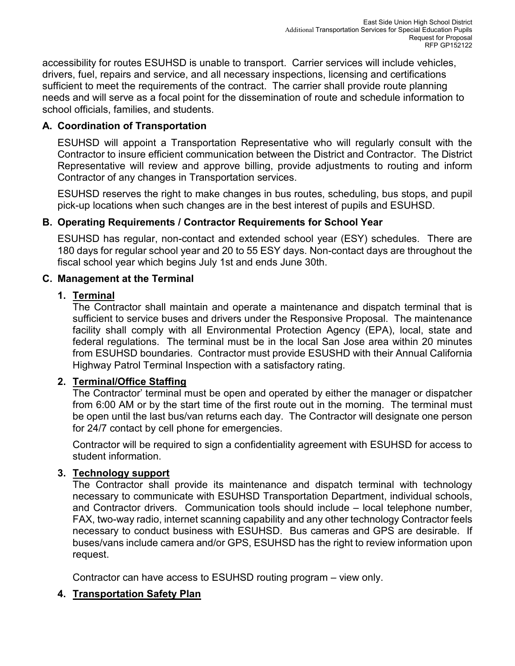accessibility for routes ESUHSD is unable to transport. Carrier services will include vehicles, drivers, fuel, repairs and service, and all necessary inspections, licensing and certifications sufficient to meet the requirements of the contract. The carrier shall provide route planning needs and will serve as a focal point for the dissemination of route and schedule information to school officials, families, and students.

### **A. Coordination of Transportation**

ESUHSD will appoint a Transportation Representative who will regularly consult with the Contractor to insure efficient communication between the District and Contractor. The District Representative will review and approve billing, provide adjustments to routing and inform Contractor of any changes in Transportation services.

ESUHSD reserves the right to make changes in bus routes, scheduling, bus stops, and pupil pick-up locations when such changes are in the best interest of pupils and ESUHSD.

### **B. Operating Requirements / Contractor Requirements for School Year**

ESUHSD has regular, non-contact and extended school year (ESY) schedules. There are 180 days for regular school year and 20 to 55 ESY days. Non-contact days are throughout the fiscal school year which begins July 1st and ends June 30th.

### **C. Management at the Terminal**

### **1. Terminal**

The Contractor shall maintain and operate a maintenance and dispatch terminal that is sufficient to service buses and drivers under the Responsive Proposal. The maintenance facility shall comply with all Environmental Protection Agency (EPA), local, state and federal regulations. The terminal must be in the local San Jose area within 20 minutes from ESUHSD boundaries. Contractor must provide ESUSHD with their Annual California Highway Patrol Terminal Inspection with a satisfactory rating.

### **2. Terminal/Office Staffing**

The Contractor' terminal must be open and operated by either the manager or dispatcher from 6:00 AM or by the start time of the first route out in the morning. The terminal must be open until the last bus/van returns each day. The Contractor will designate one person for 24/7 contact by cell phone for emergencies.

Contractor will be required to sign a confidentiality agreement with ESUHSD for access to student information.

### **3. Technology support**

The Contractor shall provide its maintenance and dispatch terminal with technology necessary to communicate with ESUHSD Transportation Department, individual schools, and Contractor drivers. Communication tools should include – local telephone number, FAX, two-way radio, internet scanning capability and any other technology Contractor feels necessary to conduct business with ESUHSD. Bus cameras and GPS are desirable. If buses/vans include camera and/or GPS, ESUHSD has the right to review information upon request.

Contractor can have access to ESUHSD routing program – view only.

### **4. Transportation Safety Plan**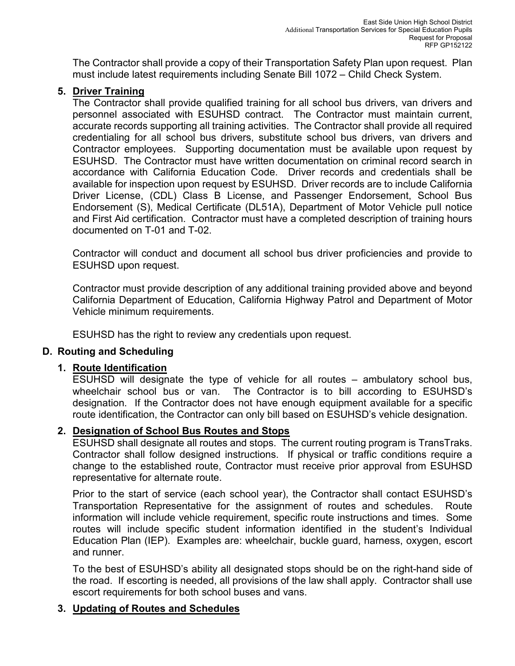The Contractor shall provide a copy of their Transportation Safety Plan upon request. Plan must include latest requirements including Senate Bill 1072 – Child Check System.

#### **5. Driver Training**

The Contractor shall provide qualified training for all school bus drivers, van drivers and personnel associated with ESUHSD contract. The Contractor must maintain current, accurate records supporting all training activities. The Contractor shall provide all required credentialing for all school bus drivers, substitute school bus drivers, van drivers and Contractor employees. Supporting documentation must be available upon request by ESUHSD. The Contractor must have written documentation on criminal record search in accordance with California Education Code. Driver records and credentials shall be available for inspection upon request by ESUHSD. Driver records are to include California Driver License, (CDL) Class B License, and Passenger Endorsement, School Bus Endorsement (S), Medical Certificate (DL51A), Department of Motor Vehicle pull notice and First Aid certification. Contractor must have a completed description of training hours documented on T-01 and T-02.

Contractor will conduct and document all school bus driver proficiencies and provide to ESUHSD upon request.

Contractor must provide description of any additional training provided above and beyond California Department of Education, California Highway Patrol and Department of Motor Vehicle minimum requirements.

ESUHSD has the right to review any credentials upon request.

#### **D. Routing and Scheduling**

#### **1. Route Identification**

ESUHSD will designate the type of vehicle for all routes – ambulatory school bus, wheelchair school bus or van. The Contractor is to bill according to ESUHSD's designation. If the Contractor does not have enough equipment available for a specific route identification, the Contractor can only bill based on ESUHSD's vehicle designation.

#### **2. Designation of School Bus Routes and Stops**

ESUHSD shall designate all routes and stops. The current routing program is TransTraks. Contractor shall follow designed instructions. If physical or traffic conditions require a change to the established route, Contractor must receive prior approval from ESUHSD representative for alternate route.

Prior to the start of service (each school year), the Contractor shall contact ESUHSD's Transportation Representative for the assignment of routes and schedules. Route information will include vehicle requirement, specific route instructions and times. Some routes will include specific student information identified in the student's Individual Education Plan (IEP). Examples are: wheelchair, buckle guard, harness, oxygen, escort and runner.

To the best of ESUHSD's ability all designated stops should be on the right-hand side of the road. If escorting is needed, all provisions of the law shall apply. Contractor shall use escort requirements for both school buses and vans.

#### **3. Updating of Routes and Schedules**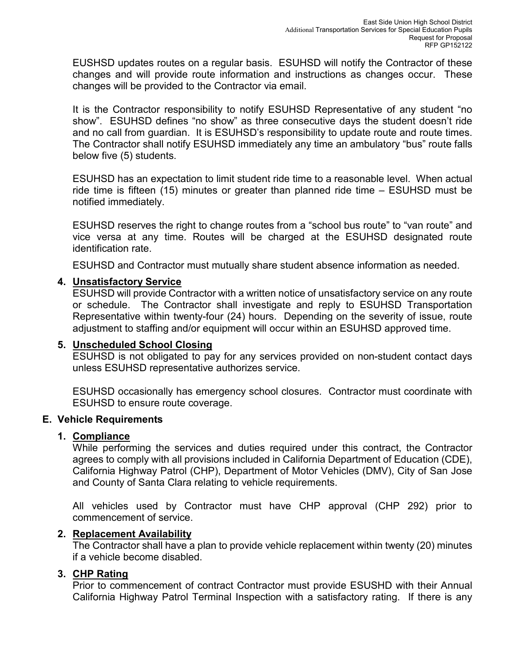EUSHSD updates routes on a regular basis. ESUHSD will notify the Contractor of these changes and will provide route information and instructions as changes occur. These changes will be provided to the Contractor via email.

It is the Contractor responsibility to notify ESUHSD Representative of any student "no show". ESUHSD defines "no show" as three consecutive days the student doesn't ride and no call from guardian. It is ESUHSD's responsibility to update route and route times. The Contractor shall notify ESUHSD immediately any time an ambulatory "bus" route falls below five (5) students.

ESUHSD has an expectation to limit student ride time to a reasonable level. When actual ride time is fifteen (15) minutes or greater than planned ride time – ESUHSD must be notified immediately.

ESUHSD reserves the right to change routes from a "school bus route" to "van route" and vice versa at any time. Routes will be charged at the ESUHSD designated route identification rate.

ESUHSD and Contractor must mutually share student absence information as needed.

#### **4. Unsatisfactory Service**

ESUHSD will provide Contractor with a written notice of unsatisfactory service on any route or schedule. The Contractor shall investigate and reply to ESUHSD Transportation Representative within twenty-four (24) hours. Depending on the severity of issue, route adjustment to staffing and/or equipment will occur within an ESUHSD approved time.

#### **5. Unscheduled School Closing**

ESUHSD is not obligated to pay for any services provided on non-student contact days unless ESUHSD representative authorizes service.

ESUHSD occasionally has emergency school closures. Contractor must coordinate with ESUHSD to ensure route coverage.

#### **E. Vehicle Requirements**

#### **1. Compliance**

While performing the services and duties required under this contract, the Contractor agrees to comply with all provisions included in California Department of Education (CDE), California Highway Patrol (CHP), Department of Motor Vehicles (DMV), City of San Jose and County of Santa Clara relating to vehicle requirements.

All vehicles used by Contractor must have CHP approval (CHP 292) prior to commencement of service.

#### **2. Replacement Availability**

The Contractor shall have a plan to provide vehicle replacement within twenty (20) minutes if a vehicle become disabled.

#### **3. CHP Rating**

Prior to commencement of contract Contractor must provide ESUSHD with their Annual California Highway Patrol Terminal Inspection with a satisfactory rating. If there is any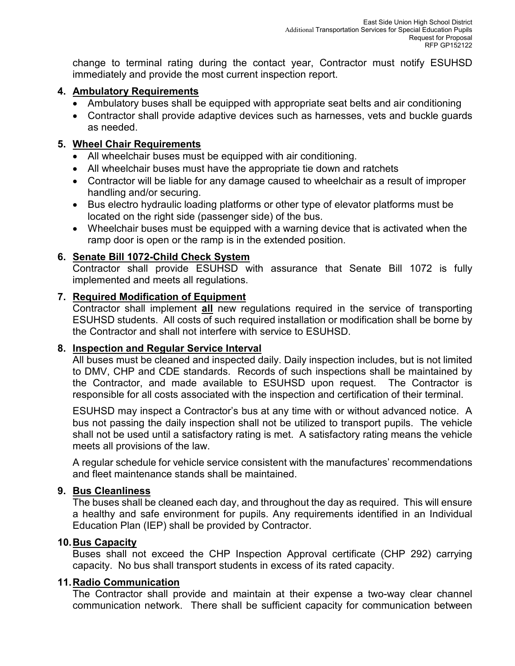change to terminal rating during the contact year, Contractor must notify ESUHSD immediately and provide the most current inspection report.

#### **4. Ambulatory Requirements**

- Ambulatory buses shall be equipped with appropriate seat belts and air conditioning
- Contractor shall provide adaptive devices such as harnesses, vets and buckle guards as needed.

#### **5. Wheel Chair Requirements**

- All wheelchair buses must be equipped with air conditioning.
- All wheelchair buses must have the appropriate tie down and ratchets
- Contractor will be liable for any damage caused to wheelchair as a result of improper handling and/or securing.
- Bus electro hydraulic loading platforms or other type of elevator platforms must be located on the right side (passenger side) of the bus.
- Wheelchair buses must be equipped with a warning device that is activated when the ramp door is open or the ramp is in the extended position.

#### **6. Senate Bill 1072-Child Check System**

Contractor shall provide ESUHSD with assurance that Senate Bill 1072 is fully implemented and meets all regulations.

#### **7. Required Modification of Equipment**

Contractor shall implement **all** new regulations required in the service of transporting ESUHSD students. All costs of such required installation or modification shall be borne by the Contractor and shall not interfere with service to ESUHSD.

#### **8. Inspection and Regular Service Interval**

All buses must be cleaned and inspected daily. Daily inspection includes, but is not limited to DMV, CHP and CDE standards. Records of such inspections shall be maintained by the Contractor, and made available to ESUHSD upon request. The Contractor is responsible for all costs associated with the inspection and certification of their terminal.

ESUHSD may inspect a Contractor's bus at any time with or without advanced notice. A bus not passing the daily inspection shall not be utilized to transport pupils. The vehicle shall not be used until a satisfactory rating is met. A satisfactory rating means the vehicle meets all provisions of the law.

A regular schedule for vehicle service consistent with the manufactures' recommendations and fleet maintenance stands shall be maintained.

#### **9. Bus Cleanliness**

The buses shall be cleaned each day, and throughout the day as required. This will ensure a healthy and safe environment for pupils. Any requirements identified in an Individual Education Plan (IEP) shall be provided by Contractor.

#### **10.Bus Capacity**

Buses shall not exceed the CHP Inspection Approval certificate (CHP 292) carrying capacity. No bus shall transport students in excess of its rated capacity.

#### **11.Radio Communication**

The Contractor shall provide and maintain at their expense a two-way clear channel communication network. There shall be sufficient capacity for communication between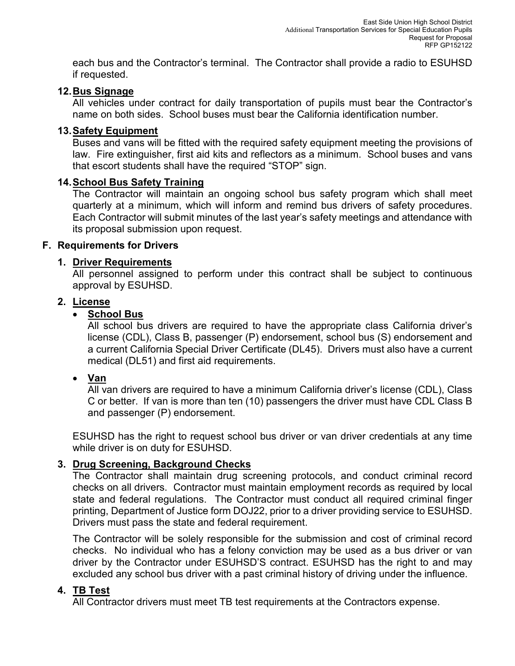each bus and the Contractor's terminal. The Contractor shall provide a radio to ESUHSD if requested.

#### **12.Bus Signage**

All vehicles under contract for daily transportation of pupils must bear the Contractor's name on both sides. School buses must bear the California identification number.

#### **13.Safety Equipment**

Buses and vans will be fitted with the required safety equipment meeting the provisions of law. Fire extinguisher, first aid kits and reflectors as a minimum. School buses and vans that escort students shall have the required "STOP" sign.

#### **14.School Bus Safety Training**

The Contractor will maintain an ongoing school bus safety program which shall meet quarterly at a minimum, which will inform and remind bus drivers of safety procedures. Each Contractor will submit minutes of the last year's safety meetings and attendance with its proposal submission upon request.

#### **F. Requirements for Drivers**

#### **1. Driver Requirements**

All personnel assigned to perform under this contract shall be subject to continuous approval by ESUHSD.

#### **2. License**

#### • **School Bus**

All school bus drivers are required to have the appropriate class California driver's license (CDL), Class B, passenger (P) endorsement, school bus (S) endorsement and a current California Special Driver Certificate (DL45). Drivers must also have a current medical (DL51) and first aid requirements.

### • **Van**

All van drivers are required to have a minimum California driver's license (CDL), Class C or better. If van is more than ten (10) passengers the driver must have CDL Class B and passenger (P) endorsement.

ESUHSD has the right to request school bus driver or van driver credentials at any time while driver is on duty for ESUHSD.

### **3. Drug Screening, Background Checks**

The Contractor shall maintain drug screening protocols, and conduct criminal record checks on all drivers. Contractor must maintain employment records as required by local state and federal regulations. The Contractor must conduct all required criminal finger printing, Department of Justice form DOJ22, prior to a driver providing service to ESUHSD. Drivers must pass the state and federal requirement.

The Contractor will be solely responsible for the submission and cost of criminal record checks. No individual who has a felony conviction may be used as a bus driver or van driver by the Contractor under ESUHSD'S contract. ESUHSD has the right to and may excluded any school bus driver with a past criminal history of driving under the influence.

#### **4. TB Test**

All Contractor drivers must meet TB test requirements at the Contractors expense.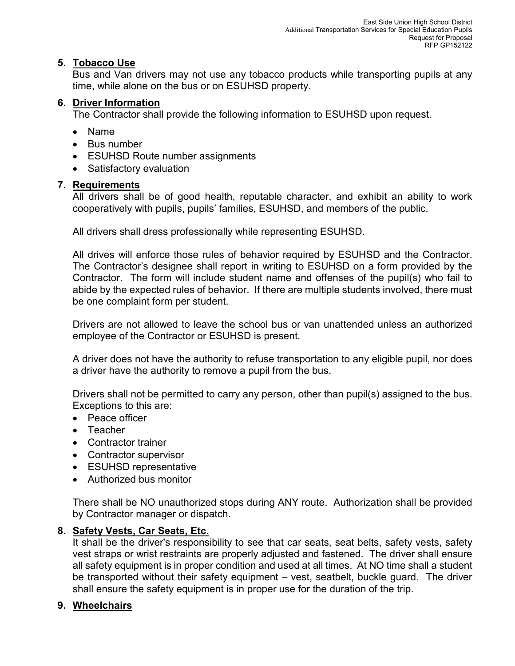### **5. Tobacco Use**

Bus and Van drivers may not use any tobacco products while transporting pupils at any time, while alone on the bus or on ESUHSD property.

### **6. Driver Information**

The Contractor shall provide the following information to ESUHSD upon request.

- Name
- Bus number
- ESUHSD Route number assignments
- Satisfactory evaluation

### **7. Requirements**

All drivers shall be of good health, reputable character, and exhibit an ability to work cooperatively with pupils, pupils' families, ESUHSD, and members of the public.

All drivers shall dress professionally while representing ESUHSD.

All drives will enforce those rules of behavior required by ESUHSD and the Contractor. The Contractor's designee shall report in writing to ESUHSD on a form provided by the Contractor. The form will include student name and offenses of the pupil(s) who fail to abide by the expected rules of behavior. If there are multiple students involved, there must be one complaint form per student.

Drivers are not allowed to leave the school bus or van unattended unless an authorized employee of the Contractor or ESUHSD is present.

A driver does not have the authority to refuse transportation to any eligible pupil, nor does a driver have the authority to remove a pupil from the bus.

Drivers shall not be permitted to carry any person, other than pupil(s) assigned to the bus. Exceptions to this are:

- Peace officer
- Teacher
- Contractor trainer
- Contractor supervisor
- ESUHSD representative
- Authorized bus monitor

There shall be NO unauthorized stops during ANY route. Authorization shall be provided by Contractor manager or dispatch.

### **8. Safety Vests, Car Seats, Etc.**

It shall be the driver's responsibility to see that car seats, seat belts, safety vests, safety vest straps or wrist restraints are properly adjusted and fastened. The driver shall ensure all safety equipment is in proper condition and used at all times. At NO time shall a student be transported without their safety equipment – vest, seatbelt, buckle guard. The driver shall ensure the safety equipment is in proper use for the duration of the trip.

### **9. Wheelchairs**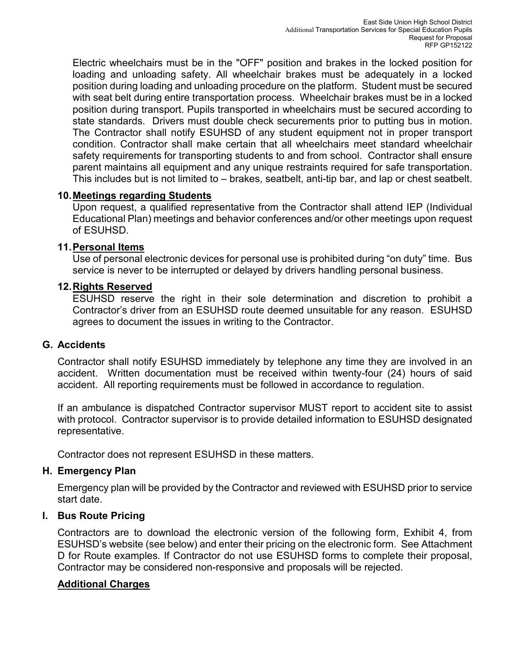Electric wheelchairs must be in the "OFF" position and brakes in the locked position for loading and unloading safety. All wheelchair brakes must be adequately in a locked position during loading and unloading procedure on the platform. Student must be secured with seat belt during entire transportation process. Wheelchair brakes must be in a locked position during transport. Pupils transported in wheelchairs must be secured according to state standards. Drivers must double check securements prior to putting bus in motion. The Contractor shall notify ESUHSD of any student equipment not in proper transport condition. Contractor shall make certain that all wheelchairs meet standard wheelchair safety requirements for transporting students to and from school. Contractor shall ensure parent maintains all equipment and any unique restraints required for safe transportation. This includes but is not limited to – brakes, seatbelt, anti-tip bar, and lap or chest seatbelt.

#### **10.Meetings regarding Students**

Upon request, a qualified representative from the Contractor shall attend IEP (Individual Educational Plan) meetings and behavior conferences and/or other meetings upon request of ESUHSD.

#### **11.Personal Items**

Use of personal electronic devices for personal use is prohibited during "on duty" time. Bus service is never to be interrupted or delayed by drivers handling personal business.

#### **12.Rights Reserved**

ESUHSD reserve the right in their sole determination and discretion to prohibit a Contractor's driver from an ESUHSD route deemed unsuitable for any reason. ESUHSD agrees to document the issues in writing to the Contractor.

### **G. Accidents**

Contractor shall notify ESUHSD immediately by telephone any time they are involved in an accident. Written documentation must be received within twenty-four (24) hours of said accident. All reporting requirements must be followed in accordance to regulation.

If an ambulance is dispatched Contractor supervisor MUST report to accident site to assist with protocol. Contractor supervisor is to provide detailed information to ESUHSD designated representative.

Contractor does not represent ESUHSD in these matters.

### **H. Emergency Plan**

Emergency plan will be provided by the Contractor and reviewed with ESUHSD prior to service start date.

### **I. Bus Route Pricing**

Contractors are to download the electronic version of the following form, Exhibit 4, from ESUHSD's website (see below) and enter their pricing on the electronic form. See Attachment D for Route examples. If Contractor do not use ESUHSD forms to complete their proposal, Contractor may be considered non-responsive and proposals will be rejected.

#### **Additional Charges**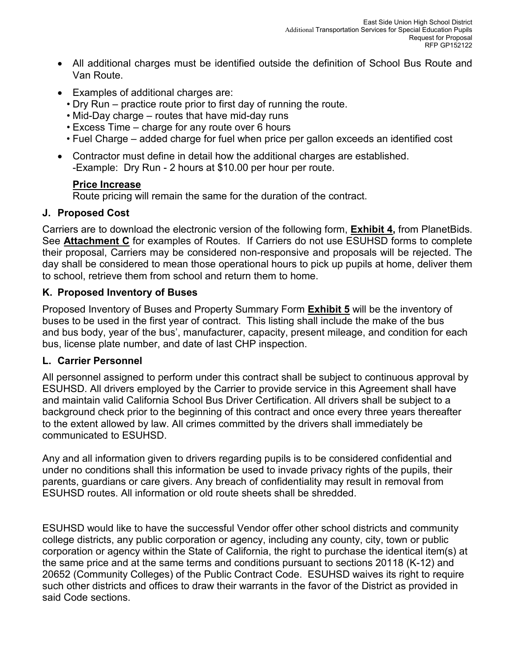- All additional charges must be identified outside the definition of School Bus Route and Van Route.
- Examples of additional charges are:
	- Dry Run practice route prior to first day of running the route.
	- Mid-Day charge routes that have mid-day runs
	- Excess Time charge for any route over 6 hours
	- Fuel Charge added charge for fuel when price per gallon exceeds an identified cost
- Contractor must define in detail how the additional charges are established. -Example: Dry Run - 2 hours at \$10.00 per hour per route.

### **Price Increase**

Route pricing will remain the same for the duration of the contract.

### **J. Proposed Cost**

Carriers are to download the electronic version of the following form, **Exhibit 4,** from PlanetBids. See **Attachment C** for examples of Routes. If Carriers do not use ESUHSD forms to complete their proposal, Carriers may be considered non-responsive and proposals will be rejected. The day shall be considered to mean those operational hours to pick up pupils at home, deliver them to school, retrieve them from school and return them to home.

### **K. Proposed Inventory of Buses**

Proposed Inventory of Buses and Property Summary Form **Exhibit 5** will be the inventory of buses to be used in the first year of contract. This listing shall include the make of the bus and bus body, year of the bus', manufacturer, capacity, present mileage, and condition for each bus, license plate number, and date of last CHP inspection.

### **L. Carrier Personnel**

All personnel assigned to perform under this contract shall be subject to continuous approval by ESUHSD. All drivers employed by the Carrier to provide service in this Agreement shall have and maintain valid California School Bus Driver Certification. All drivers shall be subject to a background check prior to the beginning of this contract and once every three years thereafter to the extent allowed by law. All crimes committed by the drivers shall immediately be communicated to ESUHSD.

Any and all information given to drivers regarding pupils is to be considered confidential and under no conditions shall this information be used to invade privacy rights of the pupils, their parents, guardians or care givers. Any breach of confidentiality may result in removal from ESUHSD routes. All information or old route sheets shall be shredded.

ESUHSD would like to have the successful Vendor offer other school districts and community college districts, any public corporation or agency, including any county, city, town or public corporation or agency within the State of California, the right to purchase the identical item(s) at the same price and at the same terms and conditions pursuant to sections 20118 (K-12) and 20652 (Community Colleges) of the Public Contract Code. ESUHSD waives its right to require such other districts and offices to draw their warrants in the favor of the District as provided in said Code sections.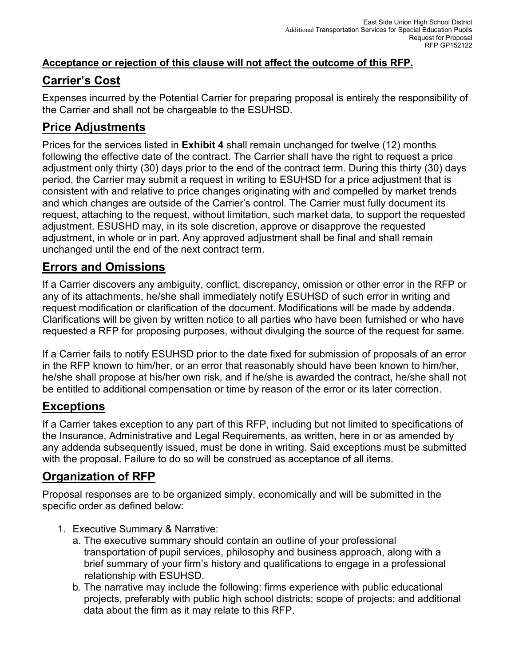### **Acceptance or rejection of this clause will not affect the outcome of this RFP.**

## **Carrier's Cost**

Expenses incurred by the Potential Carrier for preparing proposal is entirely the responsibility of the Carrier and shall not be chargeable to the ESUHSD.

## **Price Adjustments**

Prices for the services listed in **Exhibit 4** shall remain unchanged for twelve (12) months following the effective date of the contract. The Carrier shall have the right to request a price adjustment only thirty (30) days prior to the end of the contract term. During this thirty (30) days period, the Carrier may submit a request in writing to ESUHSD for a price adjustment that is consistent with and relative to price changes originating with and compelled by market trends and which changes are outside of the Carrier's control. The Carrier must fully document its request, attaching to the request, without limitation, such market data, to support the requested adjustment. ESUSHD may, in its sole discretion, approve or disapprove the requested adjustment, in whole or in part. Any approved adjustment shall be final and shall remain unchanged until the end of the next contract term.

### **Errors and Omissions**

If a Carrier discovers any ambiguity, conflict, discrepancy, omission or other error in the RFP or any of its attachments, he/she shall immediately notify ESUHSD of such error in writing and request modification or clarification of the document. Modifications will be made by addenda. Clarifications will be given by written notice to all parties who have been furnished or who have requested a RFP for proposing purposes, without divulging the source of the request for same.

If a Carrier fails to notify ESUHSD prior to the date fixed for submission of proposals of an error in the RFP known to him/her, or an error that reasonably should have been known to him/her, he/she shall propose at his/her own risk, and if he/she is awarded the contract, he/she shall not be entitled to additional compensation or time by reason of the error or its later correction.

## **Exceptions**

If a Carrier takes exception to any part of this RFP, including but not limited to specifications of the Insurance, Administrative and Legal Requirements, as written, here in or as amended by any addenda subsequently issued, must be done in writing. Said exceptions must be submitted with the proposal. Failure to do so will be construed as acceptance of all items.

## **Organization of RFP**

Proposal responses are to be organized simply, economically and will be submitted in the specific order as defined below:

- 1. Executive Summary & Narrative:
	- a. The executive summary should contain an outline of your professional transportation of pupil services, philosophy and business approach, along with a brief summary of your firm's history and qualifications to engage in a professional relationship with ESUHSD.
	- b. The narrative may include the following: firms experience with public educational projects, preferably with public high school districts; scope of projects; and additional data about the firm as it may relate to this RFP.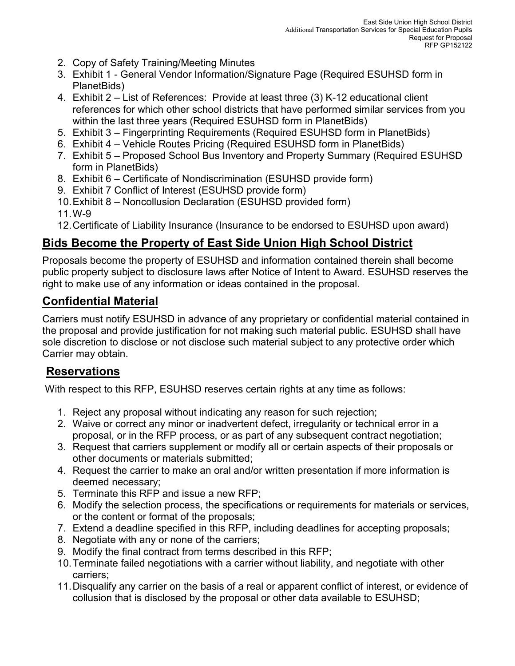- 2. Copy of Safety Training/Meeting Minutes
- 3. Exhibit 1 General Vendor Information/Signature Page (Required ESUHSD form in PlanetBids)
- 4. Exhibit 2 List of References: Provide at least three (3) K-12 educational client references for which other school districts that have performed similar services from you within the last three years (Required ESUHSD form in PlanetBids)
- 5. Exhibit 3 Fingerprinting Requirements (Required ESUHSD form in PlanetBids)
- 6. Exhibit 4 Vehicle Routes Pricing (Required ESUHSD form in PlanetBids)
- 7. Exhibit 5 Proposed School Bus Inventory and Property Summary (Required ESUHSD form in PlanetBids)
- 8. Exhibit 6 Certificate of Nondiscrimination (ESUHSD provide form)
- 9. Exhibit 7 Conflict of Interest (ESUHSD provide form)
- 10.Exhibit 8 Noncollusion Declaration (ESUHSD provided form)
- 11. W-9
- 12.Certificate of Liability Insurance (Insurance to be endorsed to ESUHSD upon award)

## **Bids Become the Property of East Side Union High School District**

Proposals become the property of ESUHSD and information contained therein shall become public property subject to disclosure laws after Notice of Intent to Award. ESUHSD reserves the right to make use of any information or ideas contained in the proposal.

## **Confidential Material**

Carriers must notify ESUHSD in advance of any proprietary or confidential material contained in the proposal and provide justification for not making such material public. ESUHSD shall have sole discretion to disclose or not disclose such material subject to any protective order which Carrier may obtain.

## **Reservations**

With respect to this RFP, ESUHSD reserves certain rights at any time as follows:

- 1. Reject any proposal without indicating any reason for such rejection;
- 2. Waive or correct any minor or inadvertent defect, irregularity or technical error in a proposal, or in the RFP process, or as part of any subsequent contract negotiation;
- 3. Request that carriers supplement or modify all or certain aspects of their proposals or other documents or materials submitted;
- 4. Request the carrier to make an oral and/or written presentation if more information is deemed necessary;
- 5. Terminate this RFP and issue a new RFP;
- 6. Modify the selection process, the specifications or requirements for materials or services, or the content or format of the proposals;
- 7. Extend a deadline specified in this RFP, including deadlines for accepting proposals;
- 8. Negotiate with any or none of the carriers;
- 9. Modify the final contract from terms described in this RFP;
- 10.Terminate failed negotiations with a carrier without liability, and negotiate with other carriers;
- 11.Disqualify any carrier on the basis of a real or apparent conflict of interest, or evidence of collusion that is disclosed by the proposal or other data available to ESUHSD;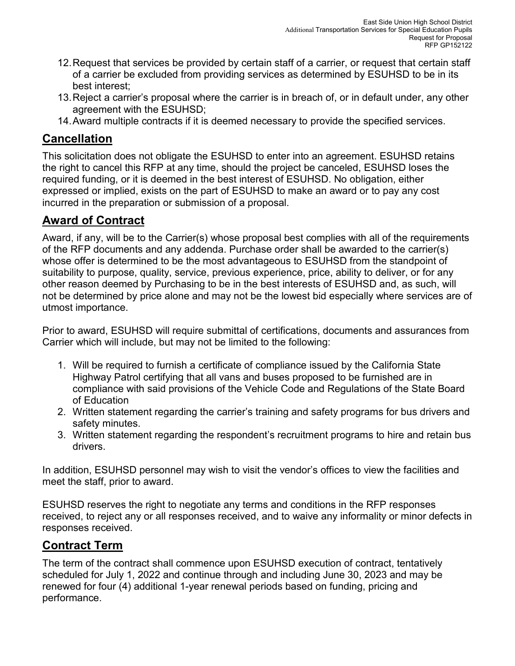- 12.Request that services be provided by certain staff of a carrier, or request that certain staff of a carrier be excluded from providing services as determined by ESUHSD to be in its best interest;
- 13.Reject a carrier's proposal where the carrier is in breach of, or in default under, any other agreement with the ESUHSD;
- 14.Award multiple contracts if it is deemed necessary to provide the specified services.

## **Cancellation**

This solicitation does not obligate the ESUHSD to enter into an agreement. ESUHSD retains the right to cancel this RFP at any time, should the project be canceled, ESUHSD loses the required funding, or it is deemed in the best interest of ESUHSD. No obligation, either expressed or implied, exists on the part of ESUHSD to make an award or to pay any cost incurred in the preparation or submission of a proposal.

## **Award of Contract**

Award, if any, will be to the Carrier(s) whose proposal best complies with all of the requirements of the RFP documents and any addenda. Purchase order shall be awarded to the carrier(s) whose offer is determined to be the most advantageous to ESUHSD from the standpoint of suitability to purpose, quality, service, previous experience, price, ability to deliver, or for any other reason deemed by Purchasing to be in the best interests of ESUHSD and, as such, will not be determined by price alone and may not be the lowest bid especially where services are of utmost importance.

Prior to award, ESUHSD will require submittal of certifications, documents and assurances from Carrier which will include, but may not be limited to the following:

- 1. Will be required to furnish a certificate of compliance issued by the California State Highway Patrol certifying that all vans and buses proposed to be furnished are in compliance with said provisions of the Vehicle Code and Regulations of the State Board of Education
- 2. Written statement regarding the carrier's training and safety programs for bus drivers and safety minutes.
- 3. Written statement regarding the respondent's recruitment programs to hire and retain bus drivers.

In addition, ESUHSD personnel may wish to visit the vendor's offices to view the facilities and meet the staff, prior to award.

ESUHSD reserves the right to negotiate any terms and conditions in the RFP responses received, to reject any or all responses received, and to waive any informality or minor defects in responses received.

## **Contract Term**

The term of the contract shall commence upon ESUHSD execution of contract, tentatively scheduled for July 1, 2022 and continue through and including June 30, 2023 and may be renewed for four (4) additional 1-year renewal periods based on funding, pricing and performance.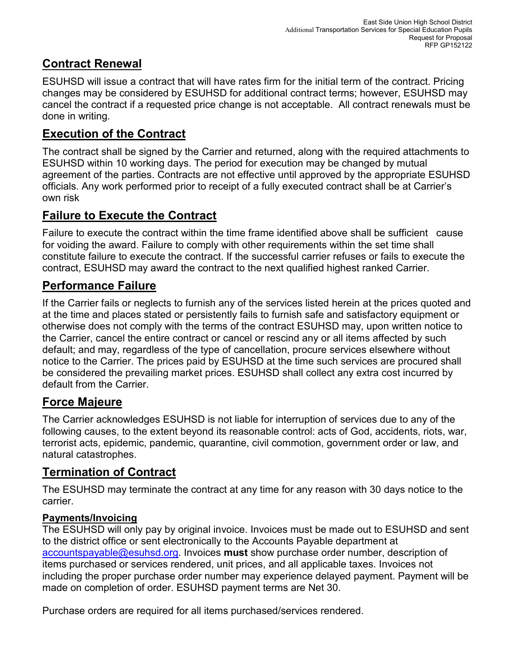## **Contract Renewal**

ESUHSD will issue a contract that will have rates firm for the initial term of the contract. Pricing changes may be considered by ESUHSD for additional contract terms; however, ESUHSD may cancel the contract if a requested price change is not acceptable. All contract renewals must be done in writing.

## **Execution of the Contract**

The contract shall be signed by the Carrier and returned, along with the required attachments to ESUHSD within 10 working days. The period for execution may be changed by mutual agreement of the parties. Contracts are not effective until approved by the appropriate ESUHSD officials. Any work performed prior to receipt of a fully executed contract shall be at Carrier's own risk

## **Failure to Execute the Contract**

Failure to execute the contract within the time frame identified above shall be sufficient cause for voiding the award. Failure to comply with other requirements within the set time shall constitute failure to execute the contract. If the successful carrier refuses or fails to execute the contract, ESUHSD may award the contract to the next qualified highest ranked Carrier.

## **Performance Failure**

If the Carrier fails or neglects to furnish any of the services listed herein at the prices quoted and at the time and places stated or persistently fails to furnish safe and satisfactory equipment or otherwise does not comply with the terms of the contract ESUHSD may, upon written notice to the Carrier, cancel the entire contract or cancel or rescind any or all items affected by such default; and may, regardless of the type of cancellation, procure services elsewhere without notice to the Carrier. The prices paid by ESUHSD at the time such services are procured shall be considered the prevailing market prices. ESUHSD shall collect any extra cost incurred by default from the Carrier.

## **Force Majeure**

The Carrier acknowledges ESUHSD is not liable for interruption of services due to any of the following causes, to the extent beyond its reasonable control: acts of God, accidents, riots, war, terrorist acts, epidemic, pandemic, quarantine, civil commotion, government order or law, and natural catastrophes.

## **Termination of Contract**

The ESUHSD may terminate the contract at any time for any reason with 30 days notice to the carrier.

### **Payments/Invoicing**

The ESUHSD will only pay by original invoice. Invoices must be made out to ESUHSD and sent to the district office or sent electronically to the Accounts Payable department at [accountspayable@esuhsd.org.](mailto:accountspayable@esuhsd.org) Invoices **must** show purchase order number, description of items purchased or services rendered, unit prices, and all applicable taxes. Invoices not including the proper purchase order number may experience delayed payment. Payment will be made on completion of order. ESUHSD payment terms are Net 30.

Purchase orders are required for all items purchased/services rendered.